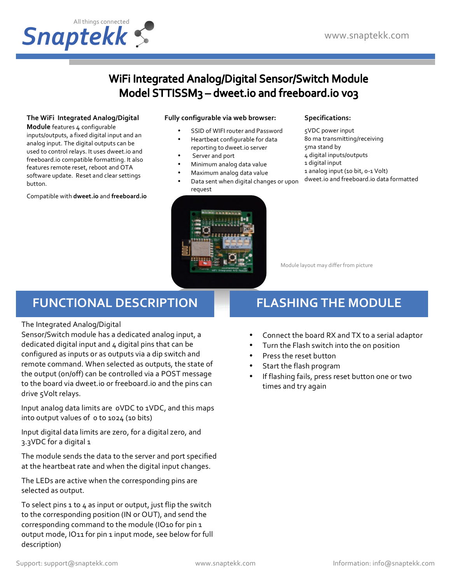

### WiFi Integrated Analog/Digital Sensor/Switch Module Model STTISSM<sub>3</sub> - dweet.io and freeboard.io vo3

#### The WiFi Integrated Analog/Digital

**Module** features 4 configurable inputs/outputs, a fixed digital input and an analog input. The digital outputs can be used to control relays. It uses dweet.io and freeboard.io compatible formatting. It also features remote reset, reboot and OTA software update. Reset and clear settings button.

Compatible with **dweet.io** and **freeboard.io**

#### **Fully configurable via web browser:**

- SSID of WIFI router and Password
- Heartbeat configurable for data
- reporting to dweet.io server
- Server and port
- Minimum analog data value
- Maximum analog data value
- Data sent when digital changes or upon request



#### **Specifications:**

5VDC power input 80 ma transmitting/receiving 5ma stand by 4 digital inputs/outputs 1 digital input 1 analog input (10 bit, 0-1 Volt) dweet.io and freeboard.io data formatted

Module layout may differ from picture

### **FUNCTIONAL DESCRIPTION**

#### The Integrated Analog/Digital

Sensor/Switch module has a dedicated analog input, a dedicated digital input and  $4$  digital pins that can be configured as inputs or as outputs via a dip switch and remote command. When selected as outputs, the state of the output (on/off) can be controlled via a POST message to the board via dweet.io or freeboard.io and the pins can drive 5Volt relays.

Input analog data limits are oVDC to 1VDC, and this maps into output values of o to 1024 (10 bits)

Input digital data limits are zero, for a digital zero, and 3.3VDC for a digital 1

The module sends the data to the server and port specified at the heartbeat rate and when the digital input changes.

The LEDs are active when the corresponding pins are selected as output.

To select pins  $1$  to  $4$  as input or output, just flip the switch to the corresponding position (IN or OUT), and send the corresponding command to the module (IO10 for pin 1 output mode, IO11 for pin 1 input mode, see below for full description)

# **FLASHING THE MODULE**

- Connect the board RX and TX to a serial adaptor
- Turn the Flash switch into the on position
- Press the reset button
- Start the flash program
- If flashing fails, press reset button one or two times and try again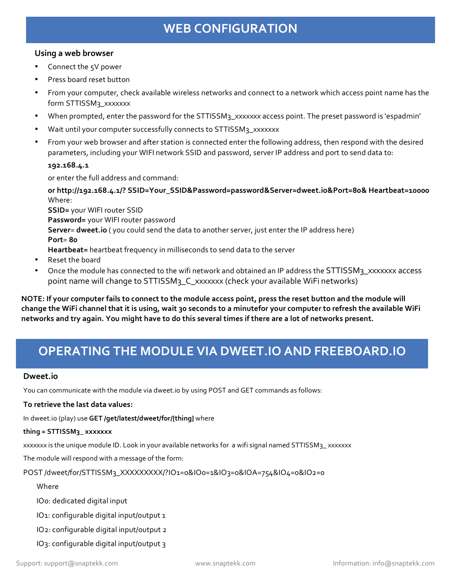## **WEB CONFIGURATION**

#### Using a web browser

- Connect the 5V power
- Press board reset button
- From your computer, check available wireless networks and connect to a network which access point name has the form STTISSM<sub>3\_</sub>xxxxxxx
- When prompted, enter the password for the STTISSM3\_xxxxxxx access point. The preset password is 'espadmin'
- Wait until your computer successfully connects to STTISSM3\_xxxxxxx
- From your web browser and after station is connected enter the following address, then respond with the desired parameters, including your WIFI network SSID and password, server IP address and port to send data to:

#### **192.168.4.1**

or enter the full address and command:

or http://192.168.4.1/? SSID=Your\_SSID&Password=password&Server=dweet.io&Port=80& Heartbeat=10000 Where:

**SSID**= your WIFI router SSID Password= your WIFI router password **Server= dweet.io** ( you could send the data to another server, just enter the IP address here) **Port**= **80 Heartbeat=** heartbeat frequency in milliseconds to send data to the server

- Reset the board
- Once the module has connected to the wifi network and obtained an IP address the STTISSM3\_xxxxxx access point name will change to STTISSM<sub>3</sub>\_C\_xxxxxxx (check your available WiFi networks)

**NOTE:** If your computer fails to connect to the module access point, press the reset button and the module will change the WiFi channel that it is using, wait 30 seconds to a minutefor your computer to refresh the available WiFi networks and try again. You might have to do this several times if there are a lot of networks present.

### **OPERATING THE MODULE VIA DWEET.IO AND FREEBOARD.IO**

#### **Dweet.io**

You can communicate with the module via dweet.io by using POST and GET commands as follows:

#### To retrieve the last data values:

In dweet.io (play) use GET /get/latest/dweet/for/{thing} where

#### **thing = STTISSM3\_ xxxxxxx**

xxxxxx is the unique module ID. Look in your available networks for a wifi signal named STTISSM3\_xxxxxxx

The module will respond with a message of the form:

POST /dweet/for/STTISSM3\_XXXXXXXXX/?IO1=0&IO0=1&IO3=0&IOA=754&IO4=0&IO2=0

#### Where

IOo: dedicated digital input

IO1: configurable digital input/output 1

IO2: configurable digital input/output 2

IO3: configurable digital input/output 3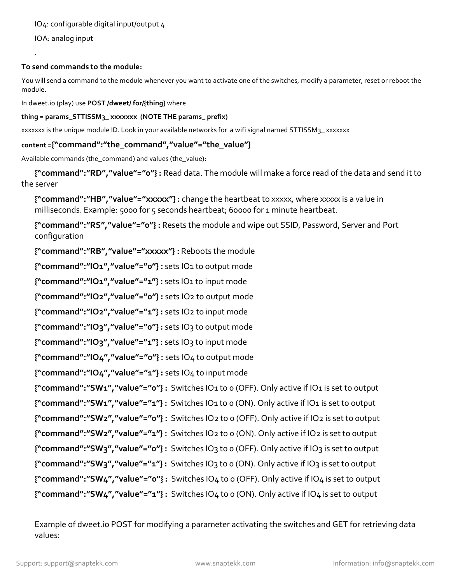IOA: analog input

. 

#### To send commands to the module:

You will send a command to the module whenever you want to activate one of the switches, modify a parameter, reset or reboot the module.

In dweet.io (play) use **POST** /dweet/ for/{thing} where

#### thing = params\_STTISSM<sub>3</sub>\_xxxxxxx (NOTE THE params\_prefix)

xxxxxxx is the unique module ID. Look in your available networks for a wifi signal named STTISSM<sub>3\_</sub> xxxxxxx

#### content ={"command":"the\_command","value"="the\_value"}

Available commands (the\_command) and values (the\_value):

**{"command":"RD","value"="o"}**: Read data. The module will make a force read of the data and send it to the server

{"command":"HB","value"="xxxxx"}: change the heartbeat to xxxxx, where xxxxx is a value in milliseconds. Example: 5000 for 5 seconds heartbeat; 60000 for 1 minute heartbeat.

**{"command":"RS","value"="0"} :** Resets the module and wipe out SSID, Password, Server and Port configuration

**{"command":"RB","value"="xxxxx"} :** Reboots the module 

**{"command":"IO1","value"="0"} :** sets IO1 to output mode 

**{"command":"IO1","value"="1"} :** sets IO1 to input mode 

**{"command":"IO2","value"="0"} :** sets IO2 to output mode 

**{"command":"IO2","value"="1"} :** sets IO2 to input mode 

**{"command":"IO3","value"="0"} :** sets IO3 to output mode 

**{"command":"IO3","value"="1"}**: sets IO3 to input mode

**{"command":"IO4","value"="o"}**: sets IO4 to output mode

**{"command":"IO4","value"="1"}**: sets IO4 to input mode

```
{"command":"SW1","value"="0"}	:		Switches	IO1	to	0	(OFF).	Only	active	if	IO1	is	set	to	output	
{"command":"SW1","value"="1"}: Switches IO1 to 0 (ON). Only active if IO1 is set to output
{"command":"SW2","value"="0"}	:		Switches	IO2	to	0	(OFF).	Only	active	if	IO2	is	set	to	output	
{"command":"SW2","value"="1"}	:		Switches	IO2	to	0	(ON).	Only	active	if	IO2	is	set	to	output	
{"command":"SW3","value"="0"}	:		Switches	IO3	to	0	(OFF).	Only	active	if	IO3	is	set	to	output	
{"command":"SW3","value"="1"}: Switches IO3 to 0 (ON). Only active if IO3 is set to output
{"command":"SW4","value"="o"}: Switches IO4 to 0 (OFF). Only active if IO4 is set to output
{"command":"SW4","value"="1"}: Switches IO4 to 0 (ON). Only active if IO4 is set to output
```
Example of dweet.io POST for modifying a parameter activating the switches and GET for retrieving data values: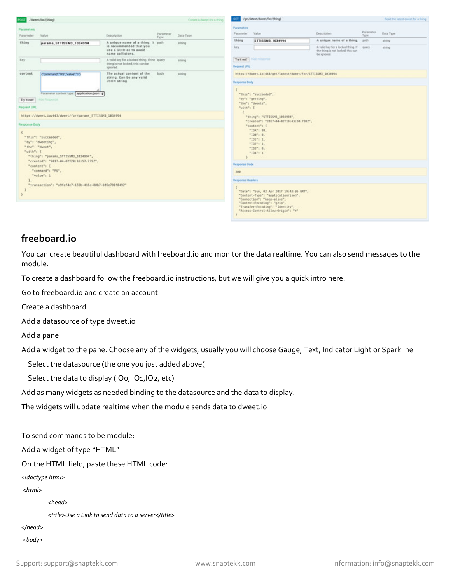|                                        | /dweet/for/(thing)                                                                                                                                                                              |                                                                                                            |                   | Create a dweet for a thing |
|----------------------------------------|-------------------------------------------------------------------------------------------------------------------------------------------------------------------------------------------------|------------------------------------------------------------------------------------------------------------|-------------------|----------------------------|
| Parameters<br>Parameter                | Value                                                                                                                                                                                           | Description                                                                                                | Parameter<br>Type | Data Type                  |
| thing                                  | params_STTISSM3_1034994                                                                                                                                                                         | A unique name of a thing. It path<br>is recommended that you<br>use a GUID as to avoid<br>name collisions. |                   | string                     |
| key                                    |                                                                                                                                                                                                 | A valid key for a locked thing. If the guery<br>thing is not locked, this can be<br>ignored.               |                   | string                     |
| content                                | ("command":"RS","value":"1")                                                                                                                                                                    | The actual content of the<br>string. Can be any valid<br>JSON string.                                      | body              | string                     |
| Try it out!<br>Request URL             | <b>Nige Response</b>                                                                                                                                                                            |                                                                                                            |                   |                            |
|                                        | https://dweet.io:443/dweet/for/params_STTISSM3_1034994                                                                                                                                          |                                                                                                            |                   |                            |
| <b>Response Body</b><br>€<br>"with": { | "this": "succeeded",<br>"by": "dweeting",<br>"the": "dyeet",<br>"thing": "params_STTISSM3_1034994",<br>"created": "2017-04-02T20:16:57.779Z",<br>"content": {<br>"connand": "RS",<br>"value": 1 |                                                                                                            |                   |                            |

| GET                           | /get/latest/dweet/for/(thing)                                                                                                                                                                                                                  | Ficad the latest dweet for a thing                                                     |                    |           |
|-------------------------------|------------------------------------------------------------------------------------------------------------------------------------------------------------------------------------------------------------------------------------------------|----------------------------------------------------------------------------------------|--------------------|-----------|
| Parameters<br>Parameter       | Value                                                                                                                                                                                                                                          | Description                                                                            | Parameter-<br>Туре | Data Type |
| thing                         | STTISSM3_1034994                                                                                                                                                                                                                               | A unique name of a thing.                                                              | path               | shing     |
| key<br>Try it out!            | Hide Response                                                                                                                                                                                                                                  | A valid key for a locked thing. If<br>the thing is not locked, this can<br>be ignored. | query              | string    |
| Request URL                   |                                                                                                                                                                                                                                                |                                                                                        |                    |           |
|                               | https://dweet.io:443/get/latest/dweet/for/STTISSM3_1034994                                                                                                                                                                                     |                                                                                        |                    |           |
| <b>Flesponse Body</b>         |                                                                                                                                                                                                                                                |                                                                                        |                    |           |
| "with": [<br>$\epsilon$<br>S. | "this": "succeeded",<br>"by": "getting",<br>"the": "dweets",<br>"thing": "STTISSM3_1034994",<br>"created": "2017-04-02T19:43:30.7382",<br>"content": {<br>"TOA": BB.<br>"IO@": 0,<br>$-101 - 1.$<br>$-102 - 1.$<br>$-103" : 0.$<br>$-104" : 1$ |                                                                                        |                    |           |
| <b>Response Code</b>          |                                                                                                                                                                                                                                                |                                                                                        |                    |           |
| 200                           |                                                                                                                                                                                                                                                |                                                                                        |                    |           |
| Response Headers              |                                                                                                                                                                                                                                                |                                                                                        |                    |           |
| e<br>y                        | "Date": "Sun, 02 Apr 2017 19:43:36 GMT",<br>"Content-Type": "application/json",<br>"Connection": "keep-alive",<br>"Content-Encoding": "gzip",<br>"Transfer-Encoding": "Identity",<br>"Access-Control-Allow-Origin": "+"                        |                                                                                        |                    |           |

### **freeboard.io**

You can create beautiful dashboard with freeboard.io and monitor the data realtime. You can also send messages to the module.

To create a dashboard follow the freeboard.io instructions, but we will give you a quick intro here:

Go to freeboard.io and create an account.

Create a dashboard

Add a datasource of type dweet.io

Add a pane

Add a widget to the pane. Choose any of the widgets, usually you will choose Gauge, Text, Indicator Light or Sparkline

Select the datasource (the one you just added above(

Select the data to display (IOo, IO1, IO2, etc)

Add as many widgets as needed binding to the datasource and the data to display.

The widgets will update realtime when the module sends data to dweet.io

To send commands to be module:

Add a widget of type "HTML"

On the HTML field, paste these HTML code:

*<!doctype html>*

*<html>*

 *<head>*

 *<title>Use a Link to send data to a server</title>*

*</head>*

*<body>*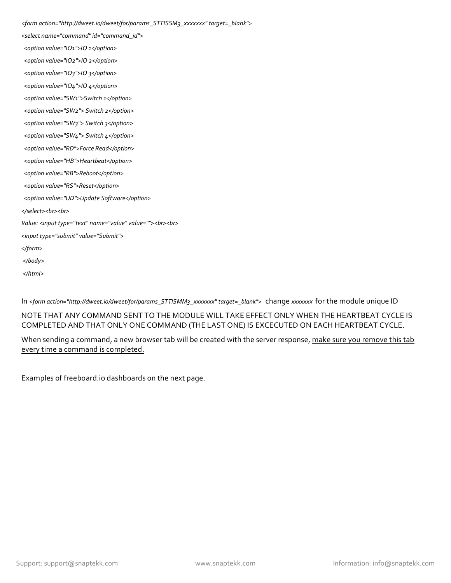*<form action="http://dweet.io/dweet/for/params\_STTISSM3\_xxxxxxx" target=\_blank"> <select name="command" id="command\_id"> <option value="IO1">IO 1</option> <option value="IO2">IO 2</option> <option value="IO3">IO 3</option> <option value="IO4">IO 4</option> <option value="SW1">Switch 1</option> <option value="SW2"> Switch 2</option> <option value="SW3"> Switch 3</option> <option value="SW4"> Switch 4</option> <option value="RD">Force Read</option> <option value="HB">Heartbeat</option> <option value="RB">Reboot</option> <option value="RS">Reset</option> <option value="UD">Update Software</option> </select><br><br> Value:* <*input type="text" name="value" value=""><br> <input type="submit" value="Submit"> </form> </body> </html>*

In <form action="http://dweet.io/dweet/for/params\_STTISMM3\_xxxxxxx" target=\_blank"> change xxxxxxx for the module unique ID

NOTE THAT ANY COMMAND SENT TO THE MODULE WILL TAKE EFFECT ONLY WHEN THE HEARTBEAT CYCLE IS COMPLETED AND THAT ONLY ONE COMMAND (THE LAST ONE) IS EXCECUTED ON EACH HEARTBEAT CYCLE.

When sending a command, a new browser tab will be created with the server response, make sure you remove this tab every time a command is completed.

Examples of freeboard.io dashboards on the next page.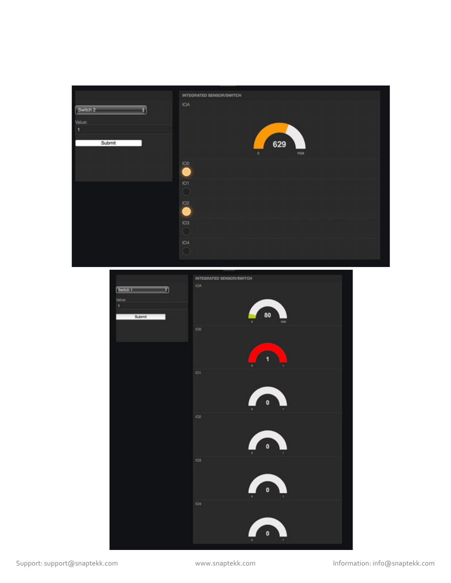

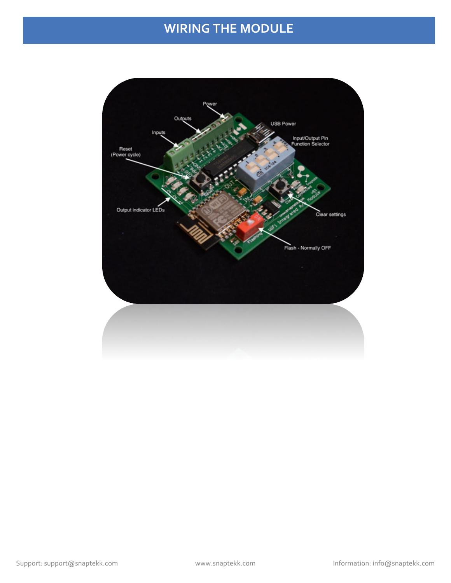# **WIRING THE MODULE**